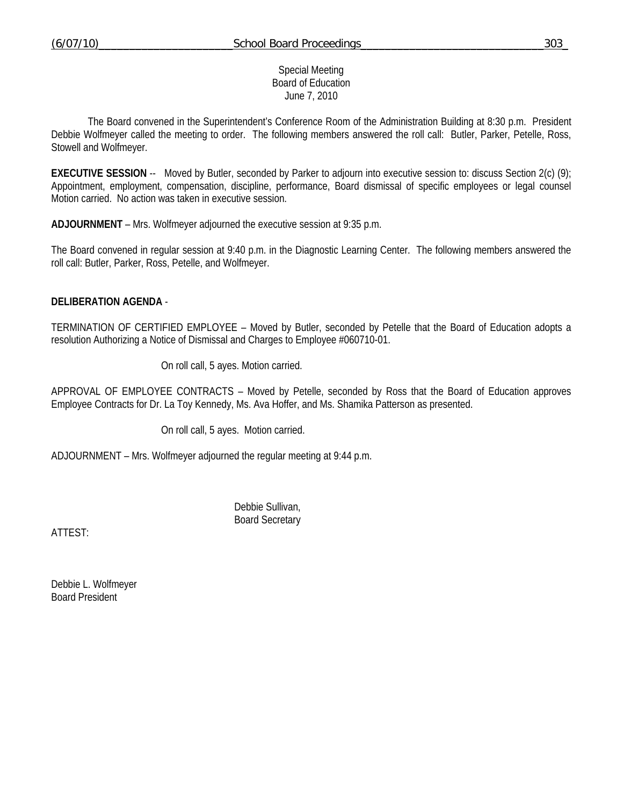## Special Meeting Board of Education June 7, 2010

 The Board convened in the Superintendent's Conference Room of the Administration Building at 8:30 p.m. President Debbie Wolfmeyer called the meeting to order. The following members answered the roll call: Butler, Parker, Petelle, Ross, Stowell and Wolfmeyer.

**EXECUTIVE SESSION** -- Moved by Butler, seconded by Parker to adjourn into executive session to: discuss Section 2(c) (9); Appointment, employment, compensation, discipline, performance, Board dismissal of specific employees or legal counsel Motion carried. No action was taken in executive session.

**ADJOURNMENT** – Mrs. Wolfmeyer adjourned the executive session at 9:35 p.m.

The Board convened in regular session at 9:40 p.m. in the Diagnostic Learning Center. The following members answered the roll call: Butler, Parker, Ross, Petelle, and Wolfmeyer.

## **DELIBERATION AGENDA** -

TERMINATION OF CERTIFIED EMPLOYEE – Moved by Butler, seconded by Petelle that the Board of Education adopts a resolution Authorizing a Notice of Dismissal and Charges to Employee #060710-01.

On roll call, 5 ayes. Motion carried.

APPROVAL OF EMPLOYEE CONTRACTS – Moved by Petelle, seconded by Ross that the Board of Education approves Employee Contracts for Dr. La Toy Kennedy, Ms. Ava Hoffer, and Ms. Shamika Patterson as presented.

On roll call, 5 ayes. Motion carried.

ADJOURNMENT – Mrs. Wolfmeyer adjourned the regular meeting at 9:44 p.m.

 Debbie Sullivan, Board Secretary

ATTEST:

Debbie L. Wolfmeyer Board President